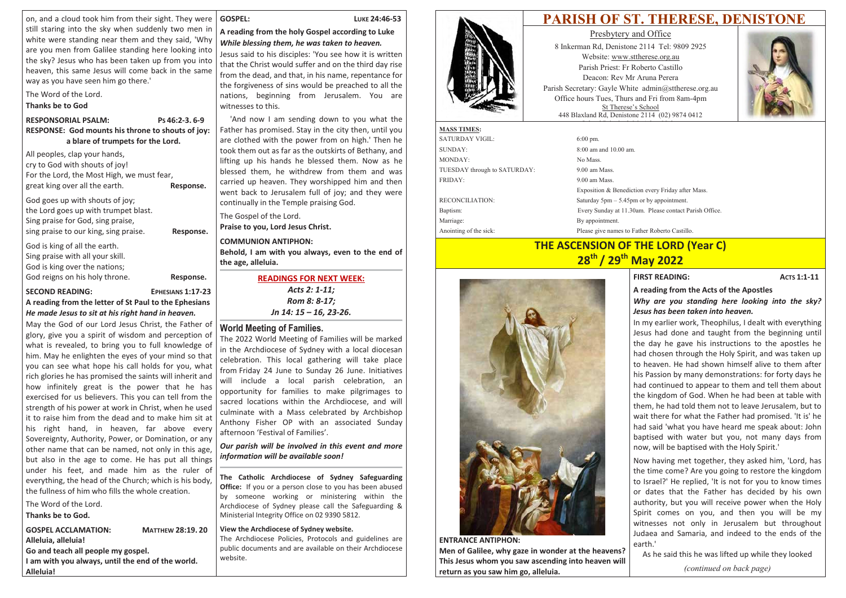on, and a cloud took him from their sight. They were still staring into the sky when suddenly two men in white were standing near them and they said, 'Why are you men from Galilee standing here looking into the sky? Jesus who has been taken up from you into heaven, this same Jesus will come back in the same way as you have seen him go there.'

The Word of the Lord.

### **Thanks be to God**

#### **RESPONSORIAL PSALM:** Ps 46:2-3, 6-9 RESPONSE: God mounts his throne to shouts of joy: a blare of trumpets for the Lord.

All peoples, clap your hands, cry to God with shouts of joy! For the Lord, the Most High, we must fear, great king over all the earth. Response.

God goes up with shouts of joy; the Lord goes up with trumpet blast. Sing praise for God, sing praise, sing praise to our king, sing praise.

God is king of all the earth. Sing praise with all your skill. God is king over the nations; God reigns on his holy throne.

Response.

Response.

**SECOND READING:** EPHESIANS 1:17-23 A reading from the letter of St Paul to the Ephesians He made Jesus to sit at his right hand in heaven.

May the God of our Lord Jesus Christ, the Father of glory, give you a spirit of wisdom and perception of what is revealed, to bring you to full knowledge of him. May he enlighten the eyes of your mind so that you can see what hope his call holds for you, what rich glories he has promised the saints will inherit and how infinitely great is the power that he has exercised for us believers. This you can tell from the strength of his power at work in Christ, when he used it to raise him from the dead and to make him sit at his right hand, in heaven, far above every Sovereignty, Authority, Power, or Domination, or any other name that can be named, not only in this age, but also in the age to come. He has put all things under his feet, and made him as the ruler of everything, the head of the Church; which is his body, the fullness of him who fills the whole creation.

# The Word of the Lord.

Thanks be to God.

**GOSPEL ACCLAMATION: MATTHEW 28:19.20** Alleluia, alleluia! Go and teach all people my gospel. I am with you always, until the end of the world. Alleluia!

#### **GOSPEL:**

#### LUKE 24:46-53

### A reading from the holy Gospel according to Luke While blessing them, he was taken to heaven.

Jesus said to his disciples: 'You see how it is written that the Christ would suffer and on the third day rise from the dead, and that, in his name, repentance for the forgiveness of sins would be preached to all the nations, beginning from Jerusalem. You are witnesses to this.

'And now I am sending down to you what the Father has promised. Stay in the city then, until you are clothed with the power from on high.' Then he took them out as far as the outskirts of Bethany, and lifting up his hands he blessed them. Now as he blessed them, he withdrew from them and was carried up heaven. They worshipped him and then went back to Jerusalem full of joy; and they were continually in the Temple praising God.

The Gospel of the Lord.

Praise to you, Lord Jesus Christ.

### **COMMUNION ANTIPHON:**

Behold, I am with you always, even to the end of the age, alleluia.

**READINGS FOR NEXT WEEK:** 

Acts 2: 1-11; Rom 8: 8-17: Jn 14: 15 - 16, 23-26.

# **World Meeting of Families.**

The 2022 World Meeting of Families will be marked in the Archdiocese of Sydney with a local diocesan celebration. This local gathering will take place from Friday 24 June to Sunday 26 June. Initiatives will include a local parish celebration, an opportunity for families to make pilgrimages to sacred locations within the Archdiocese, and will culminate with a Mass celebrated by Archbishop Anthony Fisher OP with an associated Sunday afternoon 'Festival of Families'.

Our parish will be involved in this event and more information will be available soon!

The Catholic Archdiocese of Sydney Safeguarding Office: If you or a person close to you has been abused by someone working or ministering within the Archdiocese of Sydney please call the Safeguarding & Ministerial Integrity Office on 02 9390 5812.

### View the Archdiocese of Sydney website.

The Archdiocese Policies, Protocols and guidelines are public documents and are available on their Archdiocese website.



Presbytery and Office 8 Inkerman Rd, Denistone 2114 Tel: 9809 2925 Website: www.sttherese.org.au Parish Priest: Fr Roberto Castillo Deacon: Rev Mr Aruna Perera Parish Secretary: Gayle White admin@sttherese.org.au Office hours Tues, Thurs and Fri from 8am-4pm St Therese's School 448 Blaxland Rd, Denistone 2114 (02) 9874 0412

| <b>MASS TIMES:</b>           |                                         |
|------------------------------|-----------------------------------------|
| <b>SATURDAY VIGIL:</b>       | $6:00 \,\mathrm{pm}$ .                  |
| SUNDAY:                      | $8:00$ am and $10.00$ am.               |
| MONDAY:                      | No Mass.                                |
| TUESDAY through to SATURDAY: | $9.00$ am Mass.                         |
| <b>FRIDAY:</b>               | $9.00$ am Mass.                         |
|                              | Exposition & Benedicti                  |
| <b>RECONCILIATION:</b>       | Saturday $5 \text{pm} - 5.45 \text{pm}$ |
| Baptism:                     | Every Sunday at 11.30a                  |
| Marriage:                    | By appointment.                         |
| Anointing of the sick:       | Please give names to Fa                 |



Men of Galilee, why gaze in wonder at the heavens? This Jesus whom you saw ascending into heaven will return as you saw him go, alleluia.

In my earlier work. Theophilus, I dealt with everything Jesus had done and taught from the beginning until the day he gave his instructions to the apostles he had chosen through the Holy Spirit, and was taken up to heaven. He had shown himself alive to them after his Passion by many demonstrations: for forty days he had continued to appear to them and tell them about the kingdom of God. When he had been at table with them, he had told them not to leave Jerusalem, but to wait there for what the Father had promised. 'It is' he had said 'what you have heard me speak about: John baptised with water but you, not many days from now, will be baptised with the Holy Spirit.' Now having met together, they asked him, 'Lord, has the time come? Are you going to restore the kingdom to Israel?' He replied, 'It is not for you to know times

# PARISH OF ST. THERESE, DENISTONE



ion every Friday after Mass. n or by appointment. am. Please contact Parish Office.

ather Roberto Castillo

# **THE ASCENSION OF THE LORD (Year C)** 28<sup>th</sup> / 29<sup>th</sup> May 2022

**FIRST READING:** 

**ACTS 1:1-11** 

### A reading from the Acts of the Apostles

Why are you standing here looking into the sky? Jesus has been taken into heaven.

or dates that the Father has decided by his own authority, but you will receive power when the Holy Spirit comes on you, and then you will be my witnesses not only in Jerusalem but throughout Judaea and Samaria, and indeed to the ends of the earth.'

As he said this he was lifted up while they looked

*(continued on back page)*